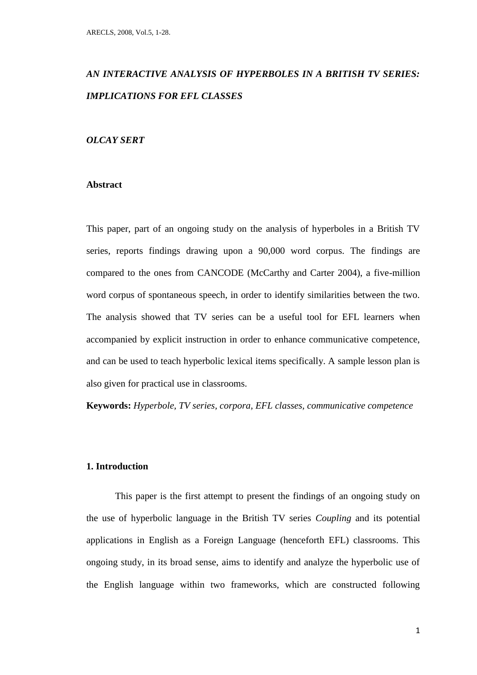# *AN INTERACTIVE ANALYSIS OF HYPERBOLES IN A BRITISH TV SERIES: IMPLICATIONS FOR EFL CLASSES*

# *OLCAY SERT*

# **Abstract**

This paper, part of an ongoing study on the analysis of hyperboles in a British TV series, reports findings drawing upon a 90,000 word corpus. The findings are compared to the ones from CANCODE (McCarthy and Carter 2004), a five-million word corpus of spontaneous speech, in order to identify similarities between the two. The analysis showed that TV series can be a useful tool for EFL learners when accompanied by explicit instruction in order to enhance communicative competence, and can be used to teach hyperbolic lexical items specifically. A sample lesson plan is also given for practical use in classrooms.

**Keywords:** *Hyperbole, TV series, corpora, EFL classes, communicative competence*

# **1. Introduction**

This paper is the first attempt to present the findings of an ongoing study on the use of hyperbolic language in the British TV series *Coupling* and its potential applications in English as a Foreign Language (henceforth EFL) classrooms. This ongoing study, in its broad sense, aims to identify and analyze the hyperbolic use of the English language within two frameworks, which are constructed following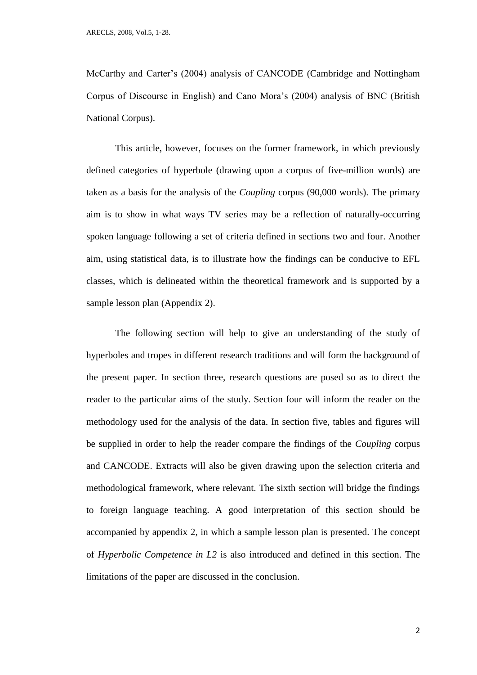McCarthy and Carter's (2004) analysis of CANCODE (Cambridge and Nottingham Corpus of Discourse in English) and Cano Mora's (2004) analysis of BNC (British National Corpus).

This article, however, focuses on the former framework, in which previously defined categories of hyperbole (drawing upon a corpus of five-million words) are taken as a basis for the analysis of the *Coupling* corpus (90,000 words). The primary aim is to show in what ways TV series may be a reflection of naturally-occurring spoken language following a set of criteria defined in sections two and four. Another aim, using statistical data, is to illustrate how the findings can be conducive to EFL classes, which is delineated within the theoretical framework and is supported by a sample lesson plan (Appendix 2).

The following section will help to give an understanding of the study of hyperboles and tropes in different research traditions and will form the background of the present paper. In section three, research questions are posed so as to direct the reader to the particular aims of the study. Section four will inform the reader on the methodology used for the analysis of the data. In section five, tables and figures will be supplied in order to help the reader compare the findings of the *Coupling* corpus and CANCODE. Extracts will also be given drawing upon the selection criteria and methodological framework, where relevant. The sixth section will bridge the findings to foreign language teaching. A good interpretation of this section should be accompanied by appendix 2, in which a sample lesson plan is presented. The concept of *Hyperbolic Competence in L2* is also introduced and defined in this section. The limitations of the paper are discussed in the conclusion.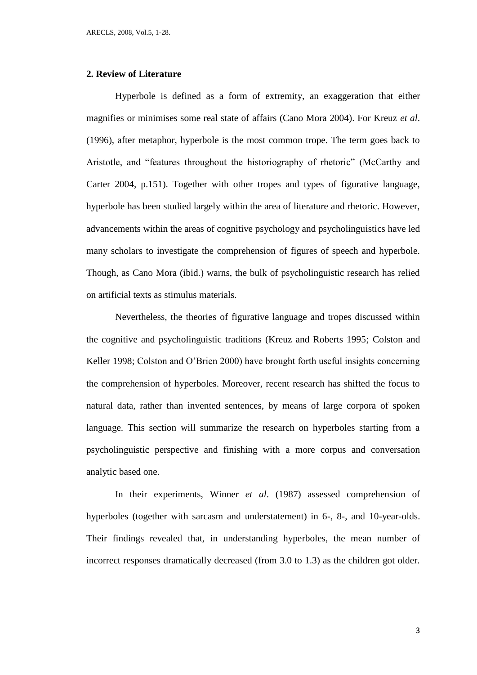# **2. Review of Literature**

Hyperbole is defined as a form of extremity, an exaggeration that either magnifies or minimises some real state of affairs (Cano Mora 2004). For Kreuz *et al*. (1996), after metaphor, hyperbole is the most common trope. The term goes back to Aristotle, and "features throughout the historiography of rhetoric" (McCarthy and Carter 2004, p.151). Together with other tropes and types of figurative language, hyperbole has been studied largely within the area of literature and rhetoric. However, advancements within the areas of cognitive psychology and psycholinguistics have led many scholars to investigate the comprehension of figures of speech and hyperbole. Though, as Cano Mora (ibid.) warns, the bulk of psycholinguistic research has relied on artificial texts as stimulus materials.

Nevertheless, the theories of figurative language and tropes discussed within the cognitive and psycholinguistic traditions (Kreuz and Roberts 1995; Colston and Keller 1998; Colston and O'Brien 2000) have brought forth useful insights concerning the comprehension of hyperboles. Moreover, recent research has shifted the focus to natural data, rather than invented sentences, by means of large corpora of spoken language. This section will summarize the research on hyperboles starting from a psycholinguistic perspective and finishing with a more corpus and conversation analytic based one.

In their experiments, Winner *et al*. (1987) assessed comprehension of hyperboles (together with sarcasm and understatement) in 6-, 8-, and 10-year-olds. Their findings revealed that, in understanding hyperboles, the mean number of incorrect responses dramatically decreased (from 3.0 to 1.3) as the children got older.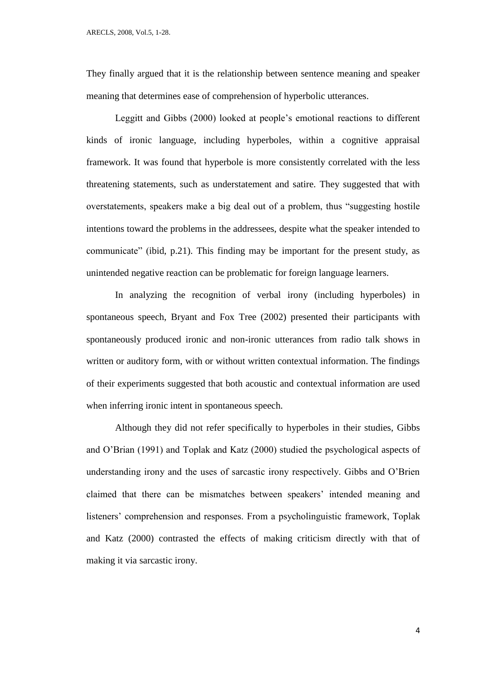They finally argued that it is the relationship between sentence meaning and speaker meaning that determines ease of comprehension of hyperbolic utterances.

Leggitt and Gibbs (2000) looked at people's emotional reactions to different kinds of ironic language, including hyperboles, within a cognitive appraisal framework. It was found that hyperbole is more consistently correlated with the less threatening statements, such as understatement and satire. They suggested that with overstatements, speakers make a big deal out of a problem, thus "suggesting hostile intentions toward the problems in the addressees, despite what the speaker intended to communicate" (ibid, p.21). This finding may be important for the present study, as unintended negative reaction can be problematic for foreign language learners.

In analyzing the recognition of verbal irony (including hyperboles) in spontaneous speech, Bryant and Fox Tree (2002) presented their participants with spontaneously produced ironic and non-ironic utterances from radio talk shows in written or auditory form, with or without written contextual information. The findings of their experiments suggested that both acoustic and contextual information are used when inferring ironic intent in spontaneous speech.

Although they did not refer specifically to hyperboles in their studies, Gibbs and O'Brian (1991) and Toplak and Katz (2000) studied the psychological aspects of understanding irony and the uses of sarcastic irony respectively. Gibbs and O'Brien claimed that there can be mismatches between speakers' intended meaning and listeners' comprehension and responses. From a psycholinguistic framework, Toplak and Katz (2000) contrasted the effects of making criticism directly with that of making it via sarcastic irony.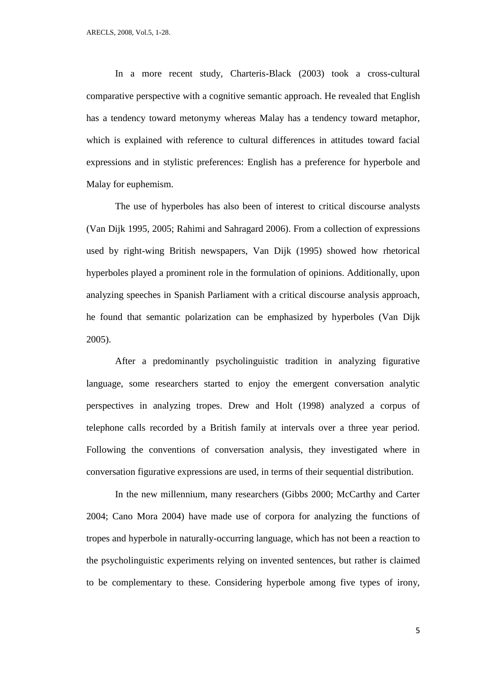In a more recent study, Charteris-Black (2003) took a cross-cultural comparative perspective with a cognitive semantic approach. He revealed that English has a tendency toward metonymy whereas Malay has a tendency toward metaphor, which is explained with reference to cultural differences in attitudes toward facial expressions and in stylistic preferences: English has a preference for hyperbole and Malay for euphemism.

The use of hyperboles has also been of interest to critical discourse analysts (Van Dijk 1995, 2005; Rahimi and Sahragard 2006). From a collection of expressions used by right-wing British newspapers, Van Dijk (1995) showed how rhetorical hyperboles played a prominent role in the formulation of opinions. Additionally, upon analyzing speeches in Spanish Parliament with a critical discourse analysis approach, he found that semantic polarization can be emphasized by hyperboles (Van Dijk 2005).

After a predominantly psycholinguistic tradition in analyzing figurative language, some researchers started to enjoy the emergent conversation analytic perspectives in analyzing tropes. Drew and Holt (1998) analyzed a corpus of telephone calls recorded by a British family at intervals over a three year period. Following the conventions of conversation analysis, they investigated where in conversation figurative expressions are used, in terms of their sequential distribution.

In the new millennium, many researchers (Gibbs 2000; McCarthy and Carter 2004; Cano Mora 2004) have made use of corpora for analyzing the functions of tropes and hyperbole in naturally-occurring language, which has not been a reaction to the psycholinguistic experiments relying on invented sentences, but rather is claimed to be complementary to these. Considering hyperbole among five types of irony,

5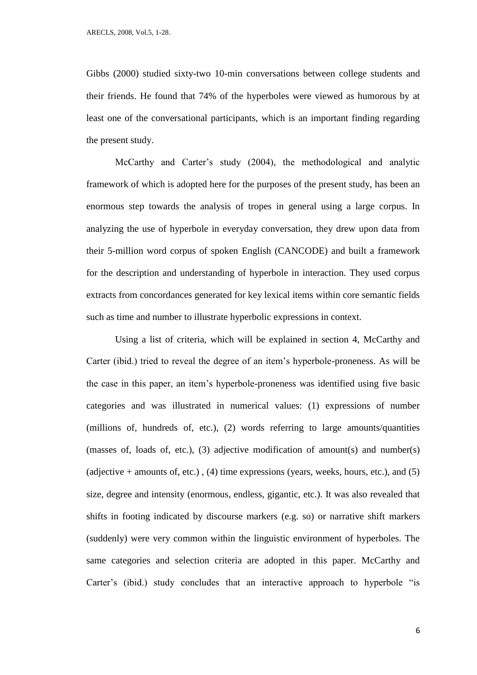Gibbs (2000) studied sixty-two 10-min conversations between college students and their friends. He found that 74% of the hyperboles were viewed as humorous by at least one of the conversational participants, which is an important finding regarding the present study.

McCarthy and Carter's study (2004), the methodological and analytic framework of which is adopted here for the purposes of the present study, has been an enormous step towards the analysis of tropes in general using a large corpus. In analyzing the use of hyperbole in everyday conversation, they drew upon data from their 5-million word corpus of spoken English (CANCODE) and built a framework for the description and understanding of hyperbole in interaction. They used corpus extracts from concordances generated for key lexical items within core semantic fields such as time and number to illustrate hyperbolic expressions in context.

Using a list of criteria, which will be explained in section 4, McCarthy and Carter (ibid.) tried to reveal the degree of an item's hyperbole-proneness. As will be the case in this paper, an item's hyperbole-proneness was identified using five basic categories and was illustrated in numerical values: (1) expressions of number (millions of, hundreds of, etc.), (2) words referring to large amounts/quantities (masses of, loads of, etc.), (3) adjective modification of amount(s) and number(s) (adjective  $+$  amounts of, etc.), (4) time expressions (years, weeks, hours, etc.), and (5) size, degree and intensity (enormous, endless, gigantic, etc.). It was also revealed that shifts in footing indicated by discourse markers (e.g. so) or narrative shift markers (suddenly) were very common within the linguistic environment of hyperboles. The same categories and selection criteria are adopted in this paper. McCarthy and Carter's (ibid.) study concludes that an interactive approach to hyperbole "is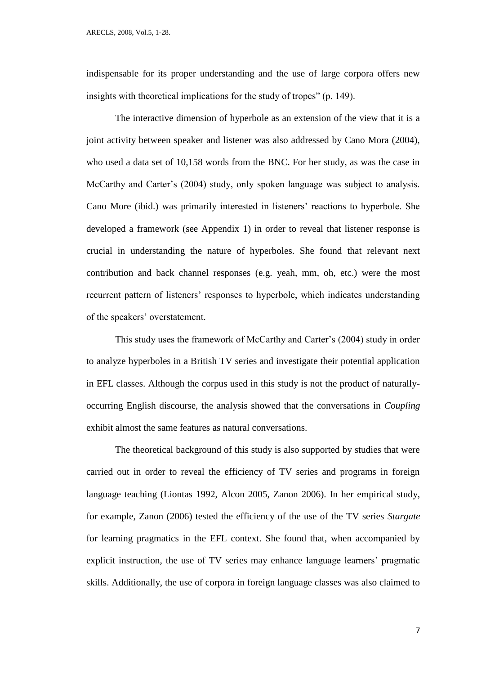indispensable for its proper understanding and the use of large corpora offers new insights with theoretical implications for the study of tropes" (p. 149).

The interactive dimension of hyperbole as an extension of the view that it is a joint activity between speaker and listener was also addressed by Cano Mora (2004), who used a data set of 10,158 words from the BNC. For her study, as was the case in McCarthy and Carter's (2004) study, only spoken language was subject to analysis. Cano More (ibid.) was primarily interested in listeners' reactions to hyperbole. She developed a framework (see Appendix 1) in order to reveal that listener response is crucial in understanding the nature of hyperboles. She found that relevant next contribution and back channel responses (e.g. yeah, mm, oh, etc.) were the most recurrent pattern of listeners' responses to hyperbole, which indicates understanding of the speakers' overstatement.

This study uses the framework of McCarthy and Carter's (2004) study in order to analyze hyperboles in a British TV series and investigate their potential application in EFL classes. Although the corpus used in this study is not the product of naturallyoccurring English discourse, the analysis showed that the conversations in *Coupling* exhibit almost the same features as natural conversations.

The theoretical background of this study is also supported by studies that were carried out in order to reveal the efficiency of TV series and programs in foreign language teaching (Liontas 1992, Alcon 2005, Zanon 2006). In her empirical study, for example, Zanon (2006) tested the efficiency of the use of the TV series *Stargate* for learning pragmatics in the EFL context. She found that, when accompanied by explicit instruction, the use of TV series may enhance language learners' pragmatic skills. Additionally, the use of corpora in foreign language classes was also claimed to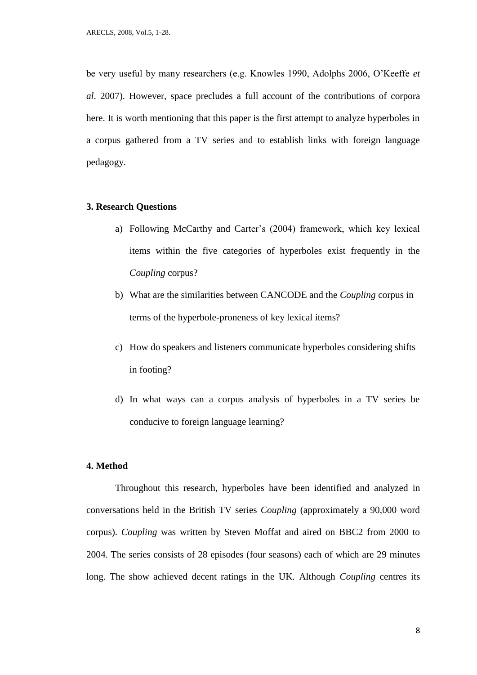be very useful by many researchers (e.g. Knowles 1990, Adolphs 2006, O'Keeffe *et al*. 2007). However, space precludes a full account of the contributions of corpora here. It is worth mentioning that this paper is the first attempt to analyze hyperboles in a corpus gathered from a TV series and to establish links with foreign language pedagogy.

### **3. Research Questions**

- a) Following McCarthy and Carter's (2004) framework, which key lexical items within the five categories of hyperboles exist frequently in the *Coupling* corpus?
- b) What are the similarities between CANCODE and the *Coupling* corpus in terms of the hyperbole-proneness of key lexical items?
- c) How do speakers and listeners communicate hyperboles considering shifts in footing?
- d) In what ways can a corpus analysis of hyperboles in a TV series be conducive to foreign language learning?

#### **4. Method**

Throughout this research, hyperboles have been identified and analyzed in conversations held in the British TV series *Coupling* (approximately a 90,000 word corpus). *Coupling* was written by Steven Moffat and aired on BBC2 from 2000 to 2004. The series consists of 28 episodes (four seasons) each of which are 29 minutes long. The show achieved decent ratings in the UK. Although *Coupling* centres its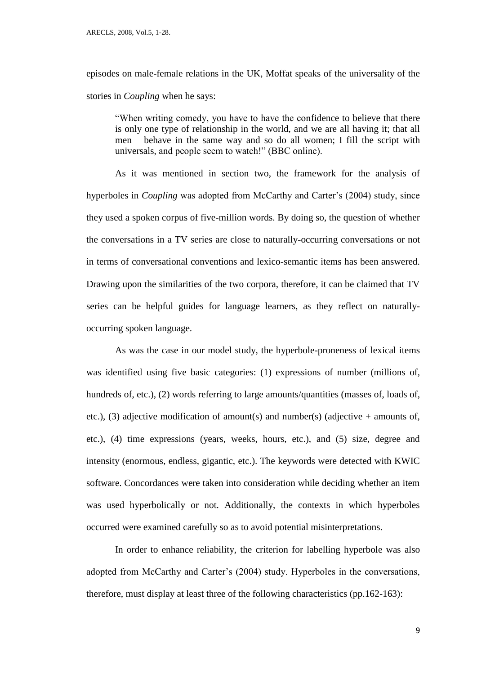episodes on male-female relations in the UK, Moffat speaks of the universality of the stories in *Coupling* when he says:

"When writing comedy, you have to have the confidence to believe that there is only one type of relationship in the world, and we are all having it; that all men behave in the same way and so do all women; I fill the script with universals, and people seem to watch!" (BBC online).

As it was mentioned in section two, the framework for the analysis of hyperboles in *Coupling* was adopted from McCarthy and Carter's (2004) study, since they used a spoken corpus of five-million words. By doing so, the question of whether the conversations in a TV series are close to naturally-occurring conversations or not in terms of conversational conventions and lexico-semantic items has been answered. Drawing upon the similarities of the two corpora, therefore, it can be claimed that TV series can be helpful guides for language learners, as they reflect on naturallyoccurring spoken language.

As was the case in our model study, the hyperbole-proneness of lexical items was identified using five basic categories: (1) expressions of number (millions of, hundreds of, etc.), (2) words referring to large amounts/quantities (masses of, loads of, etc.), (3) adjective modification of amount(s) and number(s) (adjective + amounts of, etc.), (4) time expressions (years, weeks, hours, etc.), and (5) size, degree and intensity (enormous, endless, gigantic, etc.). The keywords were detected with KWIC software. Concordances were taken into consideration while deciding whether an item was used hyperbolically or not. Additionally, the contexts in which hyperboles occurred were examined carefully so as to avoid potential misinterpretations.

In order to enhance reliability, the criterion for labelling hyperbole was also adopted from McCarthy and Carter's (2004) study. Hyperboles in the conversations, therefore, must display at least three of the following characteristics (pp.162-163):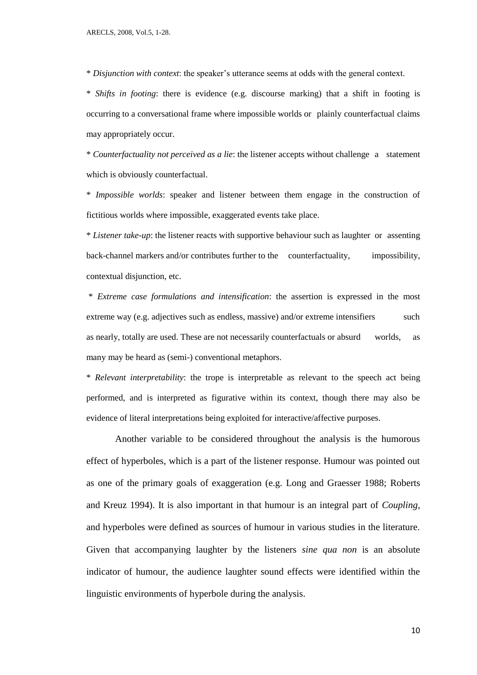\* *Disjunction with context*: the speaker's utterance seems at odds with the general context.

\* *Shifts in footing*: there is evidence (e.g. discourse marking) that a shift in footing is occurring to a conversational frame where impossible worlds or plainly counterfactual claims may appropriately occur.

\* *Counterfactuality not perceived as a lie*: the listener accepts without challenge a statement which is obviously counterfactual.

\* *Impossible worlds*: speaker and listener between them engage in the construction of fictitious worlds where impossible, exaggerated events take place.

\* *Listener take-up*: the listener reacts with supportive behaviour such as laughter or assenting back-channel markers and/or contributes further to the counterfactuality, impossibility, contextual disjunction, etc.

\* *Extreme case formulations and intensification*: the assertion is expressed in the most extreme way (e.g. adjectives such as endless, massive) and/or extreme intensifiers such as nearly, totally are used. These are not necessarily counterfactuals or absurd worlds, as many may be heard as (semi-) conventional metaphors.

\* *Relevant interpretability*: the trope is interpretable as relevant to the speech act being performed, and is interpreted as figurative within its context, though there may also be evidence of literal interpretations being exploited for interactive/affective purposes.

Another variable to be considered throughout the analysis is the humorous effect of hyperboles, which is a part of the listener response. Humour was pointed out as one of the primary goals of exaggeration (e.g. Long and Graesser 1988; Roberts and Kreuz 1994). It is also important in that humour is an integral part of *Coupling*, and hyperboles were defined as sources of humour in various studies in the literature. Given that accompanying laughter by the listeners *sine qua non* is an absolute indicator of humour, the audience laughter sound effects were identified within the linguistic environments of hyperbole during the analysis.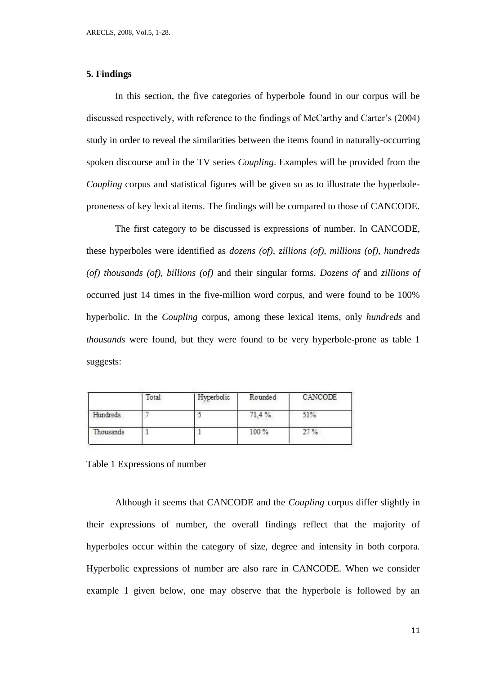# **5. Findings**

In this section, the five categories of hyperbole found in our corpus will be discussed respectively, with reference to the findings of McCarthy and Carter's (2004) study in order to reveal the similarities between the items found in naturally-occurring spoken discourse and in the TV series *Coupling*. Examples will be provided from the *Coupling* corpus and statistical figures will be given so as to illustrate the hyperboleproneness of key lexical items. The findings will be compared to those of CANCODE.

The first category to be discussed is expressions of number. In CANCODE, these hyperboles were identified as *dozens (of), zillions (of), millions (of), hundreds (of) thousands (of), billions (of)* and their singular forms. *Dozens of* and *zillions of* occurred just 14 times in the five-million word corpus, and were found to be 100% hyperbolic. In the *Coupling* corpus, among these lexical items, only *hundreds* and *thousands* were found, but they were found to be very hyperbole-prone as table 1 suggests:

|           | Total | Hyperbolic | Rounded | CANCODE |
|-----------|-------|------------|---------|---------|
| Hundreds  |       |            | 71,4%   | 51%     |
| Thousands |       |            | 100%    | 27%     |

Table 1 Expressions of number

Although it seems that CANCODE and the *Coupling* corpus differ slightly in their expressions of number, the overall findings reflect that the majority of hyperboles occur within the category of size, degree and intensity in both corpora. Hyperbolic expressions of number are also rare in CANCODE. When we consider example 1 given below, one may observe that the hyperbole is followed by an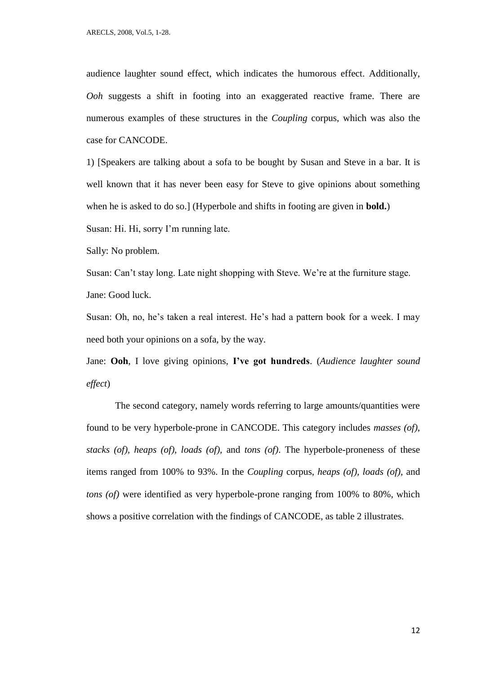audience laughter sound effect, which indicates the humorous effect. Additionally, *Ooh* suggests a shift in footing into an exaggerated reactive frame. There are numerous examples of these structures in the *Coupling* corpus, which was also the case for CANCODE.

1) [Speakers are talking about a sofa to be bought by Susan and Steve in a bar. It is well known that it has never been easy for Steve to give opinions about something when he is asked to do so.] (Hyperbole and shifts in footing are given in **bold.**)

Susan: Hi. Hi, sorry I'm running late.

Sally: No problem.

Susan: Can't stay long. Late night shopping with Steve. We're at the furniture stage. Jane: Good luck.

Susan: Oh, no, he's taken a real interest. He's had a pattern book for a week. I may need both your opinions on a sofa, by the way.

Jane: **Ooh**, I love giving opinions, **I've got hundreds**. (*Audience laughter sound effect*)

The second category, namely words referring to large amounts/quantities were found to be very hyperbole-prone in CANCODE. This category includes *masses (of), stacks (of), heaps (of), loads (of),* and *tons (of)*. The hyperbole-proneness of these items ranged from 100% to 93%. In the *Coupling* corpus, *heaps (of), loads (of),* and *tons (of)* were identified as very hyperbole-prone ranging from 100% to 80%, which shows a positive correlation with the findings of CANCODE, as table 2 illustrates.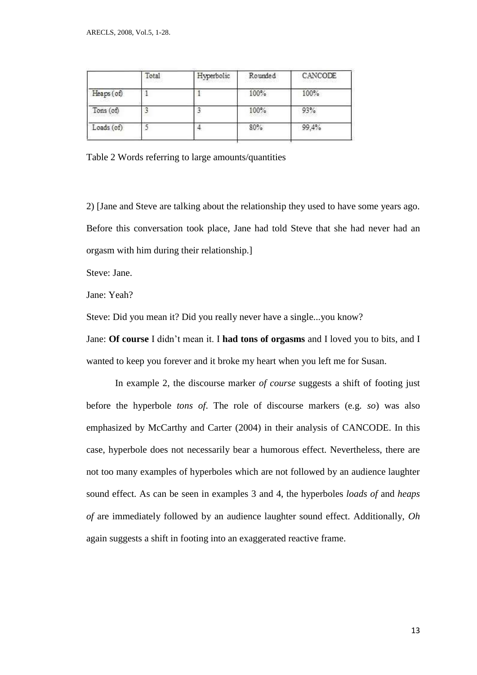|            | Total<br>. | Hyperbolic | Rounded | CANCODE |
|------------|------------|------------|---------|---------|
| Heaps (of) |            |            | 100%    | 100%    |
| Tons (of)  |            |            | 100%    | 93%     |
| Loads (of) |            |            | 80%     | 99,4%   |

Table 2 Words referring to large amounts/quantities

2) [Jane and Steve are talking about the relationship they used to have some years ago. Before this conversation took place, Jane had told Steve that she had never had an orgasm with him during their relationship.]

Steve: Jane.

Jane: Yeah?

Steve: Did you mean it? Did you really never have a single...you know?

Jane: **Of course** I didn't mean it. I **had tons of orgasms** and I loved you to bits, and I wanted to keep you forever and it broke my heart when you left me for Susan.

In example 2, the discourse marker *of course* suggests a shift of footing just before the hyperbole *tons of*. The role of discourse markers (e.g. *so*) was also emphasized by McCarthy and Carter (2004) in their analysis of CANCODE. In this case, hyperbole does not necessarily bear a humorous effect. Nevertheless, there are not too many examples of hyperboles which are not followed by an audience laughter sound effect. As can be seen in examples 3 and 4, the hyperboles *loads of* and *heaps of* are immediately followed by an audience laughter sound effect. Additionally, *Oh* again suggests a shift in footing into an exaggerated reactive frame.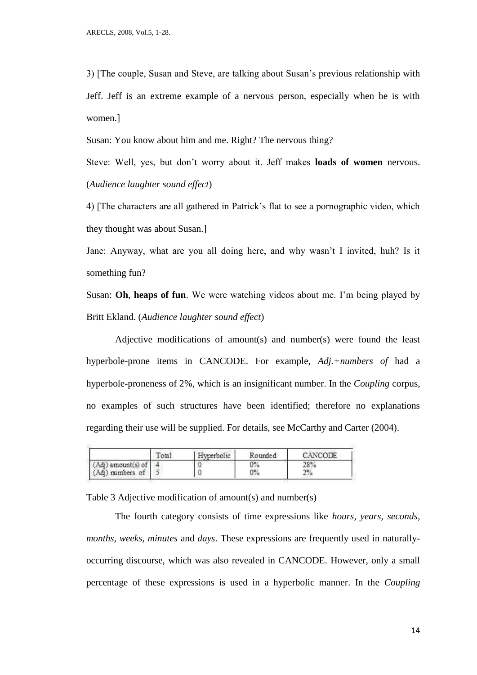3) [The couple, Susan and Steve, are talking about Susan's previous relationship with Jeff. Jeff is an extreme example of a nervous person, especially when he is with women.]

Susan: You know about him and me. Right? The nervous thing?

Steve: Well, yes, but don't worry about it. Jeff makes **loads of women** nervous. (*Audience laughter sound effect*)

4) [The characters are all gathered in Patrick's flat to see a pornographic video, which they thought was about Susan.]

Jane: Anyway, what are you all doing here, and why wasn't I invited, huh? Is it something fun?

Susan: **Oh**, **heaps of fun**. We were watching videos about me. I'm being played by Britt Ekland. (*Audience laughter sound effect*)

Adjective modifications of amount(s) and number(s) were found the least hyperbole-prone items in CANCODE. For example, *Adj.+numbers of* had a hyperbole-proneness of 2%, which is an insignificant number. In the *Coupling* corpus, no examples of such structures have been identified; therefore no explanations regarding their use will be supplied. For details, see McCarthy and Carter (2004).

|                    | Total | Hyperbolic | Rounded | CANCODE |
|--------------------|-------|------------|---------|---------|
| (Adj) amount(s) of |       |            | 0%      | 28%     |
| (Adj) numbers of   |       |            | $0\%$   | 2%      |

Table 3 Adjective modification of amount(s) and number(s)

The fourth category consists of time expressions like *hours, years, seconds, months, weeks, minutes* and *days*. These expressions are frequently used in naturallyoccurring discourse, which was also revealed in CANCODE. However, only a small percentage of these expressions is used in a hyperbolic manner. In the *Coupling*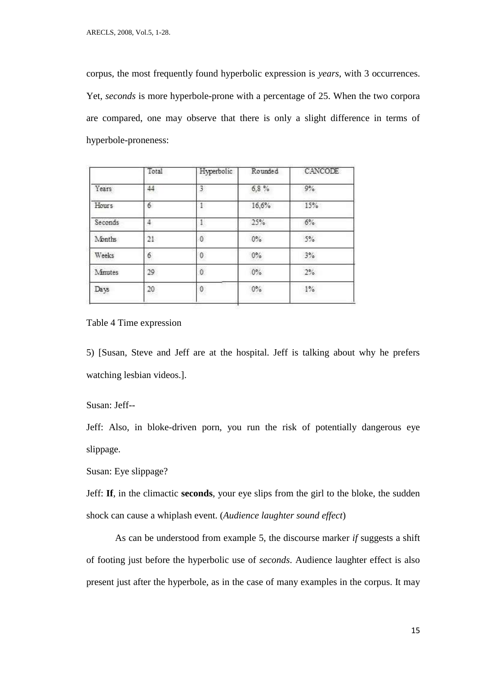corpus, the most frequently found hyperbolic expression is *years*, with 3 occurrences. Yet, *seconds* is more hyperbole-prone with a percentage of 25. When the two corpora are compared, one may observe that there is only a slight difference in terms of hyperbole-proneness:

|         | Total | Hyperbolic   | Rounded | CANCODE |
|---------|-------|--------------|---------|---------|
| Years   | 44    | 3            | 6,8%    | $9\%$   |
| Hours   | 6     | $\mathbf{1}$ | 16.6%   | 15%     |
| Seconds | 4     |              | 25%     | 6%      |
| Months  | 21    | Ò            | $0\%$   | 5%      |
| Weeks   | 6     | 0            | 0%      | 3%      |
| Minutes | 29    | Ö.           | $0\%$   | 2%      |
| Days    | 20    | 0            | $0\%$   | $1\%$   |

Table 4 Time expression

5) [Susan, Steve and Jeff are at the hospital. Jeff is talking about why he prefers watching lesbian videos.].

Susan: Jeff--

Jeff: Also, in bloke-driven porn, you run the risk of potentially dangerous eye slippage.

Susan: Eye slippage?

Jeff: **If**, in the climactic **seconds**, your eye slips from the girl to the bloke, the sudden shock can cause a whiplash event. (*Audience laughter sound effect*)

As can be understood from example 5, the discourse marker *if* suggests a shift of footing just before the hyperbolic use of *seconds*. Audience laughter effect is also present just after the hyperbole, as in the case of many examples in the corpus. It may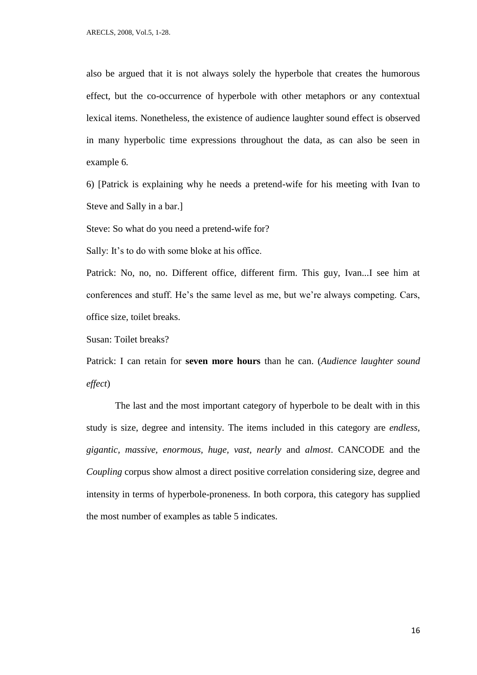also be argued that it is not always solely the hyperbole that creates the humorous effect, but the co-occurrence of hyperbole with other metaphors or any contextual lexical items. Nonetheless, the existence of audience laughter sound effect is observed in many hyperbolic time expressions throughout the data, as can also be seen in example 6*.* 

6) [Patrick is explaining why he needs a pretend-wife for his meeting with Ivan to Steve and Sally in a bar.]

Steve: So what do you need a pretend-wife for?

Sally: It's to do with some bloke at his office.

Patrick: No, no, no. Different office, different firm. This guy, Ivan...I see him at conferences and stuff. He's the same level as me, but we're always competing. Cars, office size, toilet breaks.

Susan: Toilet breaks?

Patrick: I can retain for **seven more hours** than he can. (*Audience laughter sound effect*)

The last and the most important category of hyperbole to be dealt with in this study is size, degree and intensity. The items included in this category are *endless, gigantic, massive, enormous, huge, vast, nearly* and *almost*. CANCODE and the *Coupling* corpus show almost a direct positive correlation considering size, degree and intensity in terms of hyperbole-proneness. In both corpora, this category has supplied the most number of examples as table 5 indicates.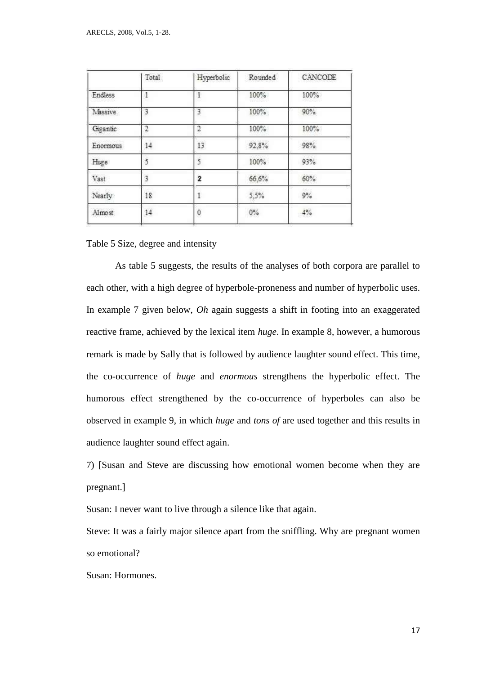|          | Total          | Hyperbolic | Rounded | CANCODE |
|----------|----------------|------------|---------|---------|
| Endless  |                |            | 100%    | 100%    |
| Massive  | 3              | 3          | 100%    | 90%     |
| Gigantic | $\mathfrak{D}$ | 2          | 100%    | 100%    |
| Enormous | 14             | 13         | 92,8%   | 98%     |
| Huge     | 5              | 5          | 100%    | 93%     |
| Vast     | 3              | 2          | 66,6%   | 60%     |
| Nearly   | 18             |            | 5,5%    | 9%      |
| Almost   | 14             | $\circ$    | $0\%$   | $4\%$   |
|          |                |            |         |         |

Table 5 Size, degree and intensity

As table 5 suggests, the results of the analyses of both corpora are parallel to each other, with a high degree of hyperbole-proneness and number of hyperbolic uses. In example 7 given below, *Oh* again suggests a shift in footing into an exaggerated reactive frame, achieved by the lexical item *huge*. In example 8, however, a humorous remark is made by Sally that is followed by audience laughter sound effect. This time, the co-occurrence of *huge* and *enormous* strengthens the hyperbolic effect. The humorous effect strengthened by the co-occurrence of hyperboles can also be observed in example 9, in which *huge* and *tons of* are used together and this results in audience laughter sound effect again.

7) [Susan and Steve are discussing how emotional women become when they are pregnant.]

Susan: I never want to live through a silence like that again.

Steve: It was a fairly major silence apart from the sniffling. Why are pregnant women so emotional?

Susan: Hormones.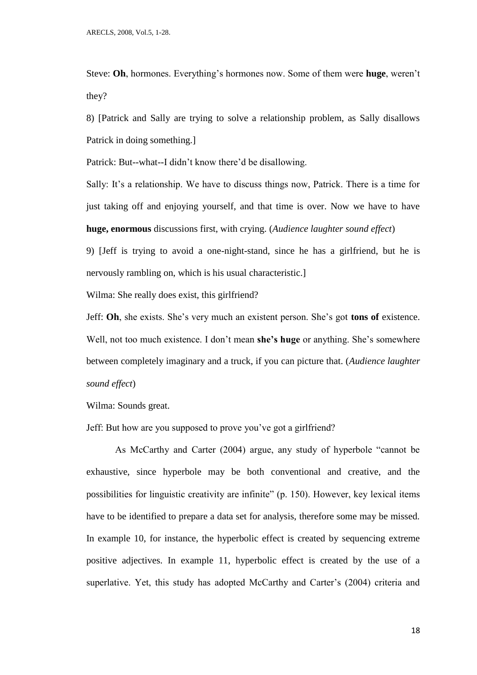Steve: **Oh**, hormones. Everything's hormones now. Some of them were **huge**, weren't they?

8) [Patrick and Sally are trying to solve a relationship problem, as Sally disallows Patrick in doing something.]

Patrick: But--what--I didn't know there'd be disallowing.

Sally: It's a relationship. We have to discuss things now, Patrick. There is a time for just taking off and enjoying yourself, and that time is over. Now we have to have **huge, enormous** discussions first, with crying. (*Audience laughter sound effect*)

9) [Jeff is trying to avoid a one-night-stand, since he has a girlfriend, but he is nervously rambling on, which is his usual characteristic.]

Wilma: She really does exist, this girlfriend?

Jeff: **Oh**, she exists. She's very much an existent person. She's got **tons of** existence. Well, not too much existence. I don't mean **she's huge** or anything. She's somewhere between completely imaginary and a truck, if you can picture that. (*Audience laughter sound effect*)

Wilma: Sounds great.

Jeff: But how are you supposed to prove you've got a girlfriend?

As McCarthy and Carter (2004) argue, any study of hyperbole "cannot be exhaustive, since hyperbole may be both conventional and creative, and the possibilities for linguistic creativity are infinite" (p. 150). However, key lexical items have to be identified to prepare a data set for analysis, therefore some may be missed. In example 10, for instance, the hyperbolic effect is created by sequencing extreme positive adjectives. In example 11, hyperbolic effect is created by the use of a superlative. Yet, this study has adopted McCarthy and Carter's (2004) criteria and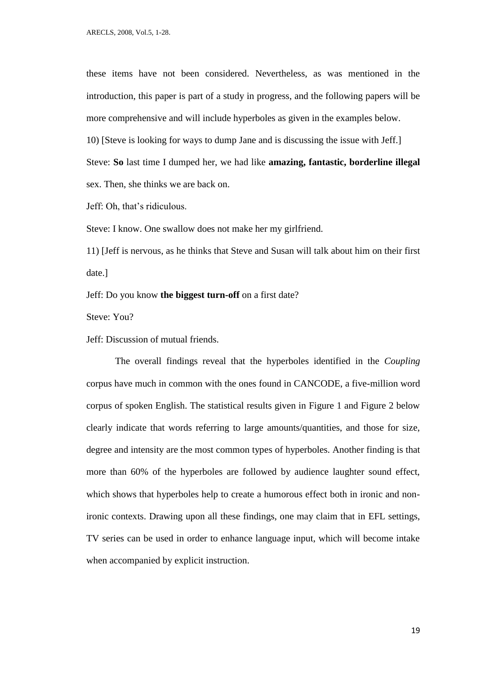these items have not been considered. Nevertheless, as was mentioned in the introduction, this paper is part of a study in progress, and the following papers will be more comprehensive and will include hyperboles as given in the examples below.

10) [Steve is looking for ways to dump Jane and is discussing the issue with Jeff.]

Steve: **So** last time I dumped her, we had like **amazing, fantastic, borderline illegal** sex. Then, she thinks we are back on.

Jeff: Oh, that's ridiculous.

Steve: I know. One swallow does not make her my girlfriend.

11) [Jeff is nervous, as he thinks that Steve and Susan will talk about him on their first date.]

Jeff: Do you know **the biggest turn-off** on a first date?

Steve: You?

Jeff: Discussion of mutual friends.

The overall findings reveal that the hyperboles identified in the *Coupling* corpus have much in common with the ones found in CANCODE, a five-million word corpus of spoken English. The statistical results given in Figure 1 and Figure 2 below clearly indicate that words referring to large amounts/quantities, and those for size, degree and intensity are the most common types of hyperboles. Another finding is that more than 60% of the hyperboles are followed by audience laughter sound effect, which shows that hyperboles help to create a humorous effect both in ironic and nonironic contexts. Drawing upon all these findings, one may claim that in EFL settings, TV series can be used in order to enhance language input, which will become intake when accompanied by explicit instruction.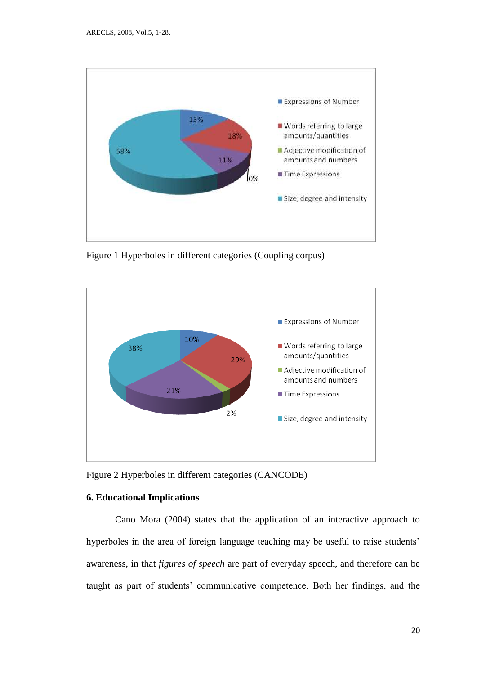

Figure 1 Hyperboles in different categories (Coupling corpus)



Figure 2 Hyperboles in different categories (CANCODE)

# **6. Educational Implications**

Cano Mora (2004) states that the application of an interactive approach to hyperboles in the area of foreign language teaching may be useful to raise students' awareness, in that *figures of speech* are part of everyday speech, and therefore can be taught as part of students' communicative competence. Both her findings, and the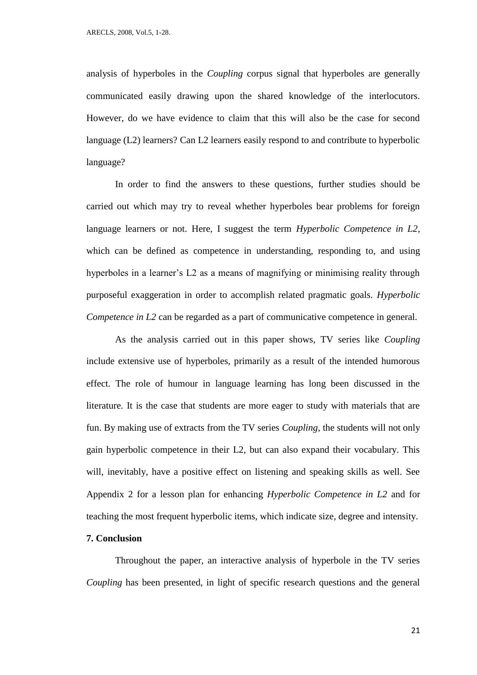analysis of hyperboles in the *Coupling* corpus signal that hyperboles are generally communicated easily drawing upon the shared knowledge of the interlocutors. However, do we have evidence to claim that this will also be the case for second language (L2) learners? Can L2 learners easily respond to and contribute to hyperbolic language?

In order to find the answers to these questions, further studies should be carried out which may try to reveal whether hyperboles bear problems for foreign language learners or not. Here, I suggest the term *Hyperbolic Competence in L2*, which can be defined as competence in understanding, responding to, and using hyperboles in a learner's L2 as a means of magnifying or minimising reality through purposeful exaggeration in order to accomplish related pragmatic goals. *Hyperbolic Competence in L2* can be regarded as a part of communicative competence in general.

As the analysis carried out in this paper shows, TV series like *Coupling* include extensive use of hyperboles, primarily as a result of the intended humorous effect. The role of humour in language learning has long been discussed in the literature. It is the case that students are more eager to study with materials that are fun. By making use of extracts from the TV series *Coupling*, the students will not only gain hyperbolic competence in their L2, but can also expand their vocabulary. This will, inevitably, have a positive effect on listening and speaking skills as well. See Appendix 2 for a lesson plan for enhancing *Hyperbolic Competence in L2* and for teaching the most frequent hyperbolic items, which indicate size, degree and intensity.

# **7. Conclusion**

Throughout the paper, an interactive analysis of hyperbole in the TV series *Coupling* has been presented, in light of specific research questions and the general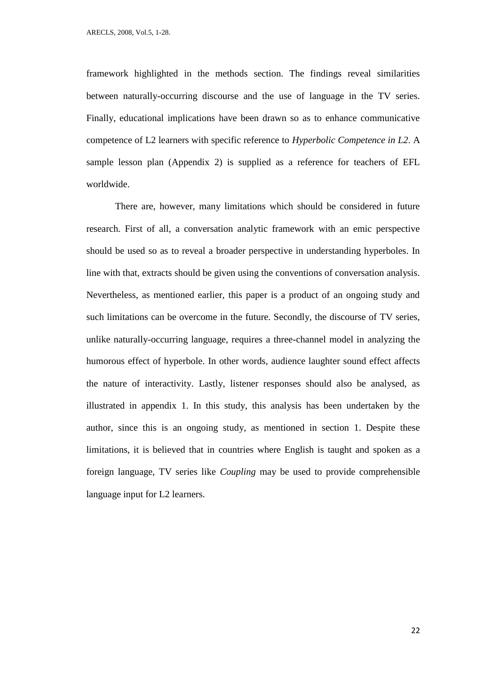framework highlighted in the methods section. The findings reveal similarities between naturally-occurring discourse and the use of language in the TV series. Finally, educational implications have been drawn so as to enhance communicative competence of L2 learners with specific reference to *Hyperbolic Competence in L2*. A sample lesson plan (Appendix 2) is supplied as a reference for teachers of EFL worldwide.

There are, however, many limitations which should be considered in future research. First of all, a conversation analytic framework with an emic perspective should be used so as to reveal a broader perspective in understanding hyperboles. In line with that, extracts should be given using the conventions of conversation analysis. Nevertheless, as mentioned earlier, this paper is a product of an ongoing study and such limitations can be overcome in the future. Secondly, the discourse of TV series, unlike naturally-occurring language, requires a three-channel model in analyzing the humorous effect of hyperbole. In other words, audience laughter sound effect affects the nature of interactivity. Lastly, listener responses should also be analysed, as illustrated in appendix 1. In this study, this analysis has been undertaken by the author, since this is an ongoing study, as mentioned in section 1. Despite these limitations, it is believed that in countries where English is taught and spoken as a foreign language, TV series like *Coupling* may be used to provide comprehensible language input for L2 learners.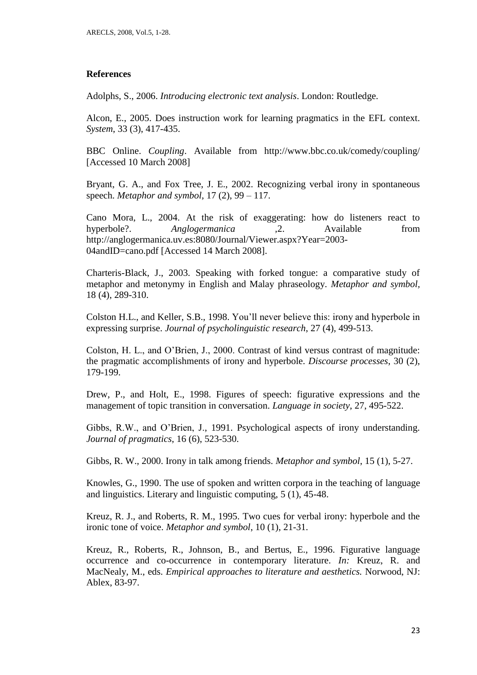# **References**

Adolphs, S., 2006. *Introducing electronic text analysis*. London: Routledge.

Alcon, E., 2005. Does instruction work for learning pragmatics in the EFL context. *System*, 33 (3), 417-435.

BBC Online. *Coupling*. Available from http://www.bbc.co.uk/comedy/coupling/ [Accessed 10 March 2008]

Bryant, G. A., and Fox Tree, J. E., 2002. Recognizing verbal irony in spontaneous speech. *Metaphor and symbol*, 17 (2), 99 – 117.

Cano Mora, L., 2004. At the risk of exaggerating: how do listeners react to hyperbole?. *Anglogermanica ,*2. Available from http://anglogermanica.uv.es:8080/Journal/Viewer.aspx?Year=2003- 04andID=cano.pdf [Accessed 14 March 2008].

Charteris-Black, J., 2003. Speaking with forked tongue: a comparative study of metaphor and metonymy in English and Malay phraseology. *Metaphor and symbol,*  18 (4), 289-310.

Colston H.L., and Keller, S.B., 1998. You'll never believe this: irony and hyperbole in expressing surprise. *Journal of psycholinguistic research*, 27 (4), 499-513.

Colston, H. L., and O'Brien, J., 2000. Contrast of kind versus contrast of magnitude: the pragmatic accomplishments of irony and hyperbole. *Discourse processes*, 30 (2), 179-199.

Drew, P., and Holt, E., 1998. Figures of speech: figurative expressions and the management of topic transition in conversation. *Language in society*, 27, 495-522.

Gibbs, R.W., and O'Brien, J., 1991. Psychological aspects of irony understanding. *Journal of pragmatics*, 16 (6), 523-530.

Gibbs, R. W., 2000. Irony in talk among friends. *Metaphor and symbol*, 15 (1), 5-27.

Knowles, G., 1990. The use of spoken and written corpora in the teaching of language and linguistics. Literary and linguistic computing, 5 (1), 45-48.

Kreuz, R. J., and Roberts, R. M., 1995. Two cues for verbal irony: hyperbole and the ironic tone of voice. *Metaphor and symbol*, 10 (1), 21-31.

Kreuz, R., Roberts, R., Johnson, B., and Bertus, E., 1996. Figurative language occurrence and co-occurrence in contemporary literature. *In:* Kreuz, R. and MacNealy, M., eds. *Empirical approaches to literature and aesthetics.* Norwood, NJ: Ablex, 83-97.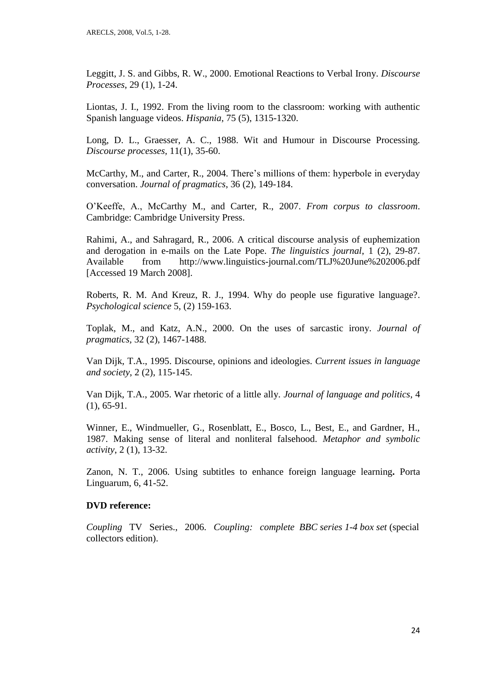Leggitt, J. S. and Gibbs, R. W., 2000. Emotional Reactions to Verbal Irony. *Discourse Processes*, 29 (1), 1-24.

Liontas, J. I., 1992. From the living room to the classroom: working with authentic Spanish language videos. *Hispania*, 75 (5), 1315-1320.

Long, D. L., Graesser, A. C., 1988. Wit and Humour in Discourse Processing. *Discourse processes,* 11(1), 35-60.

McCarthy, M., and Carter, R., 2004. There's millions of them: hyperbole in everyday conversation. *Journal of pragmatics*, 36 (2), 149-184.

O'Keeffe, A., McCarthy M., and Carter, R., 2007. *From corpus to classroom*. Cambridge: Cambridge University Press.

Rahimi, A., and Sahragard, R., 2006. A critical discourse analysis of euphemization and derogation in e-mails on the Late Pope. *The linguistics journal*, 1 (2), 29-87. Available from http://www.linguistics-journal.com/TLJ%20June%202006.pdf [Accessed 19 March 2008].

Roberts, R. M. And Kreuz, R. J., 1994. Why do people use figurative language?. *Psychological science* 5, (2) 159-163.

Toplak, M., and Katz, A.N., 2000. On the uses of sarcastic irony. *Journal of pragmatics,* 32 (2), 1467-1488.

Van Dijk, T.A., 1995. Discourse, opinions and ideologies. *Current issues in language and society*, 2 (2), 115-145.

Van Dijk, T.A., 2005. War rhetoric of a little ally. *Journal of language and politics*, 4 (1), 65-91.

Winner, E., Windmueller, G., Rosenblatt, E., Bosco, L., Best, E., and Gardner, H., 1987. Making sense of literal and nonliteral falsehood. *Metaphor and symbolic activity*, 2 (1), 13-32.

Zanon, N. T., 2006. Using subtitles to enhance foreign language learning**.** Porta Linguarum, 6, 41-52.

# **DVD reference:**

*Coupling* TV Series., 2006. *Coupling: complete BBC series 1-4 box set* (special collectors edition).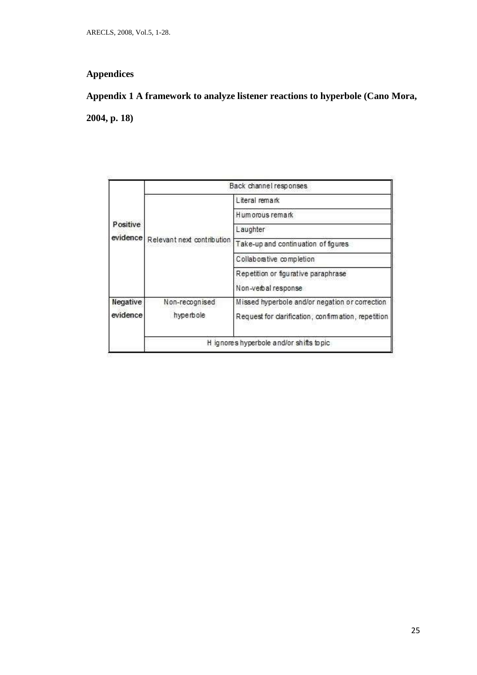# **Appendices**

# **Appendix 1 A framework to analyze listener reactions to hyperbole (Cano Mora,**

**2004, p. 18)**

|          |                                         | Back channel responses                             |  |  |
|----------|-----------------------------------------|----------------------------------------------------|--|--|
| Positive |                                         | Literal remark                                     |  |  |
|          | evidence Relevant next contribution     | Hum orous remark                                   |  |  |
|          |                                         | Laughter                                           |  |  |
|          |                                         | Take-up and continuation of figures                |  |  |
|          |                                         | Collaborative completion                           |  |  |
|          |                                         | Repetition or figurative paraphrase                |  |  |
|          |                                         | Non-verbal response                                |  |  |
| Negative | Non-recognised                          | Missed hyperbole and/or negation or correction     |  |  |
| evidence | hyperbole                               | Request for darification, confirmation, repetition |  |  |
|          | H ignores hyperbole and/or shifts topic |                                                    |  |  |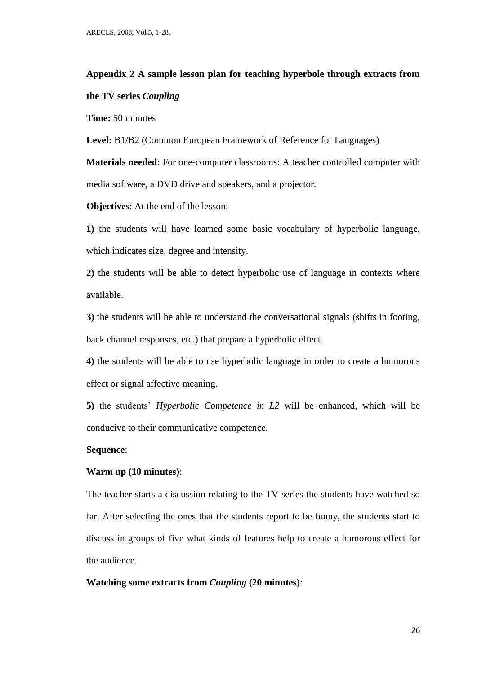# **Appendix 2 A sample lesson plan for teaching hyperbole through extracts from the TV series** *Coupling*

**Time:** 50 minutes

**Level:** B1/B2 (Common European Framework of Reference for Languages)

**Materials needed**: For one-computer classrooms: A teacher controlled computer with media software, a DVD drive and speakers, and a projector.

**Objectives**: At the end of the lesson:

**1)** the students will have learned some basic vocabulary of hyperbolic language, which indicates size, degree and intensity.

**2)** the students will be able to detect hyperbolic use of language in contexts where available.

**3)** the students will be able to understand the conversational signals (shifts in footing, back channel responses, etc.) that prepare a hyperbolic effect.

**4)** the students will be able to use hyperbolic language in order to create a humorous effect or signal affective meaning.

**5)** the students' *Hyperbolic Competence in L2* will be enhanced, which will be conducive to their communicative competence.

# **Sequence**:

# **Warm up (10 minutes)**:

The teacher starts a discussion relating to the TV series the students have watched so far. After selecting the ones that the students report to be funny, the students start to discuss in groups of five what kinds of features help to create a humorous effect for the audience.

#### **Watching some extracts from** *Coupling* **(20 minutes)**: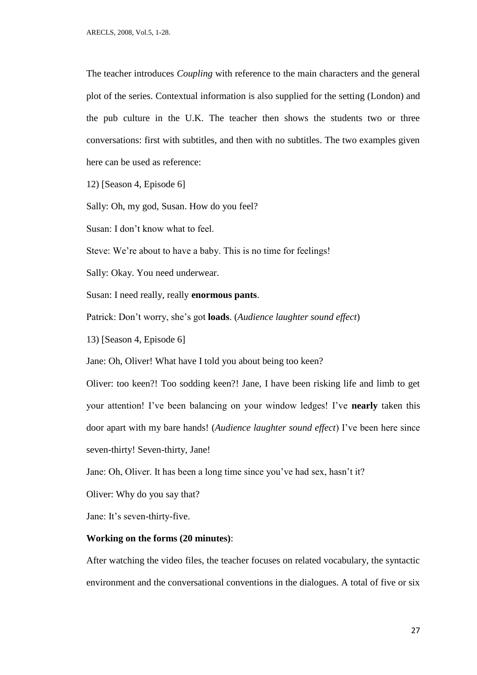The teacher introduces *Coupling* with reference to the main characters and the general plot of the series. Contextual information is also supplied for the setting (London) and the pub culture in the U.K. The teacher then shows the students two or three conversations: first with subtitles, and then with no subtitles. The two examples given here can be used as reference:

12) [Season 4, Episode 6]

Sally: Oh, my god, Susan. How do you feel?

Susan: I don't know what to feel.

Steve: We're about to have a baby. This is no time for feelings!

Sally: Okay. You need underwear.

Susan: I need really, really **enormous pants**.

Patrick: Don't worry, she's got **loads**. (*Audience laughter sound effect*)

13) [Season 4, Episode 6]

Jane: Oh, Oliver! What have I told you about being too keen?

Oliver: too keen?! Too sodding keen?! Jane, I have been risking life and limb to get your attention! I've been balancing on your window ledges! I've **nearly** taken this door apart with my bare hands! (*Audience laughter sound effect*) I've been here since seven-thirty! Seven-thirty, Jane!

Jane: Oh, Oliver. It has been a long time since you've had sex, hasn't it?

Oliver: Why do you say that?

Jane: It's seven-thirty-five.

# **Working on the forms (20 minutes)**:

After watching the video files, the teacher focuses on related vocabulary, the syntactic environment and the conversational conventions in the dialogues. A total of five or six